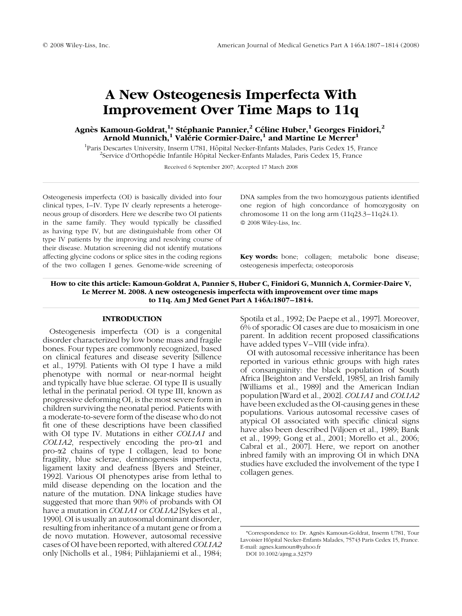# A New Osteogenesis Imperfecta With Improvement Over Time Maps to 11q

# Agnès Kamoun-Goldrat, $^{1\ast}$  Stéphanie Pannier, $^{2}$  Céline Huber, $^{1}$  Georges Finidori, $^{2}$ Arnold Munnich,<sup>1</sup> Valerie Cormier-Daire,<sup>1</sup> and Martine Le Merrer<sup>1</sup>

<sup>1</sup> Paris Descartes University, Inserm U781, Hôpital Necker-Enfants Malades, Paris Cedex 15, France <sup>2</sup>Service d'Orthopédie Infantile Hôpital Necker-Enfants Malades, Paris Cedex 15, France

Received 6 September 2007; Accepted 17 March 2008

Osteogenesis imperfecta (OI) is basically divided into four clinical types, I–IV. Type IV clearly represents a heterogeneous group of disorders. Here we describe two OI patients in the same family. They would typically be classified as having type IV, but are distinguishable from other OI type IV patients by the improving and resolving course of their disease. Mutation screening did not identify mutations affecting glycine codons or splice sites in the coding regions of the two collagen I genes. Genome-wide screening of

DNA samples from the two homozygous patients identified one region of high concordance of homozygosity on chromosome 11 on the long arm (11q23.3–11q24.1).  $© 2008 Wiley-Liss, Inc.$ 

Key words: bone; collagen; metabolic bone disease; osteogenesis imperfecta; osteoporosis

How to cite this article: Kamoun-Goldrat A, Pannier S, Huber C, Finidori G, Munnich A, Cormier-Daire V, Le Merrer M. 2008. A new osteogenesis imperfecta with improvement over time maps to 11q. Am J Med Genet Part A 146A:1807–1814.

# INTRODUCTION

Osteogenesis imperfecta (OI) is a congenital disorder characterized by low bone mass and fragile bones. Four types are commonly recognized, based on clinical features and disease severity [Sillence et al., 1979]. Patients with OI type I have a mild phenotype with normal or near-normal height and typically have blue sclerae. OI type II is usually lethal in the perinatal period. OI type III, known as progressive deforming OI, is the most severe form in children surviving the neonatal period. Patients with a moderate-to-severe form of the disease who do not fit one of these descriptions have been classified with OI type IV. Mutations in either COL1A1 and COL1A2, respectively encoding the pro- $\alpha$ 1 and pro-a2 chains of type I collagen, lead to bone fragility, blue sclerae, dentinogenesis imperfecta, ligament laxity and deafness [Byers and Steiner, 1992]. Various OI phenotypes arise from lethal to mild disease depending on the location and the nature of the mutation. DNA linkage studies have suggested that more than 90% of probands with OI have a mutation in *COL1A1* or *COL1A2* [Sykes et al., 1990]. OI is usually an autosomal dominant disorder, resulting from inheritance of a mutant gene or from a de novo mutation. However, autosomal recessive cases of OI have been reported, with altered COL1A2 only [Nicholls et al., 1984; Piihlajaniemi et al., 1984; Spotila et al., 1992; De Paepe et al., 1997]. Moreover, 6% of sporadic OI cases are due to mosaicism in one parent. In addition recent proposed classifications have added types V–VIII (vide infra).

OI with autosomal recessive inheritance has been reported in various ethnic groups with high rates of consanguinity: the black population of South Africa [Beighton and Versfeld, 1985], an Irish family [Williams et al., 1989] and the American Indian population [Ward et al., 2002]. COL1A1 and COL1A2 have been excluded as the OI-causing genes in these populations. Various autosomal recessive cases of atypical OI associated with specific clinical signs have also been described [Viljoen et al., 1989; Bank et al., 1999; Gong et al., 2001; Morello et al., 2006; Cabral et al., 2007]. Here, we report on another inbred family with an improving OI in which DNA studies have excluded the involvement of the type I collagen genes.

<sup>\*</sup>Correspondence to: Dr. Agne`s Kamoun-Goldrat, Inserm U781, Tour Lavoisier Hôpital Necker-Enfants Malades, 75743 Paris Cedex 15, France. E-mail: agnes.kamoun@yahoo.fr

DOI 10.1002/ajmg.a.32379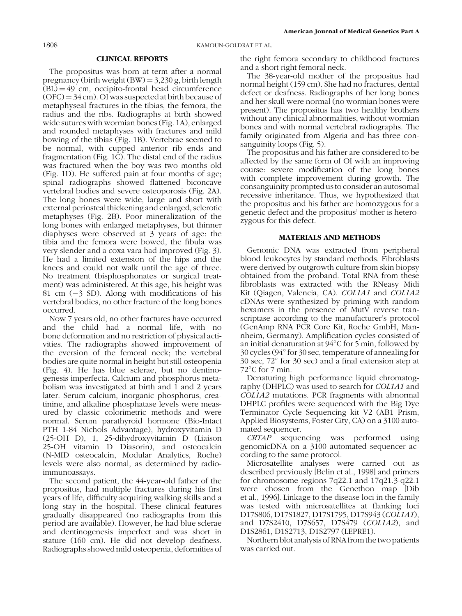# CLINICAL REPORTS

The propositus was born at term after a normal pregnancy (birth weight  $(BW) = 3,230$  g, birth length  $(BL) = 49$  cm, occipito-frontal head circumference  $(OFC) = 34$  cm). OI was suspected at birth because of metaphyseal fractures in the tibias, the femora, the radius and the ribs. Radiographs at birth showed wide sutures with wormian bones (Fig. 1A), enlarged and rounded metaphyses with fractures and mild bowing of the tibias (Fig. 1B). Vertebrae seemed to be normal, with cupped anterior rib ends and fragmentation (Fig. 1C). The distal end of the radius was fractured when the boy was two months old (Fig. 1D). He suffered pain at four months of age; spinal radiographs showed flattened biconcave vertebral bodies and severe osteoporosis (Fig. 2A). The long bones were wide, large and short with external periosteal thickening and enlarged, sclerotic metaphyses (Fig. 2B). Poor mineralization of the long bones with enlarged metaphyses, but thinner diaphyses were observed at 3 years of age: the tibia and the femora were bowed, the fibula was very slender and a coxa vara had improved (Fig. 3). He had a limited extension of the hips and the knees and could not walk until the age of three. No treatment (bisphosphonates or surgical treatment) was administered. At this age, his height was 81 cm  $(-3$  SD). Along with modifications of his vertebral bodies, no other fracture of the long bones occurred.

Now 7 years old, no other fractures have occurred and the child had a normal life, with no bone deformation and no restriction of physical activities. The radiographs showed improvement of the eversion of the femoral neck; the vertebral bodies are quite normal in height but still osteopenia (Fig. 4). He has blue sclerae, but no dentinogenesis imperfecta. Calcium and phosphorus metabolism was investigated at birth and 1 and 2 years later. Serum calcium, inorganic phosphorus, creatinine, and alkaline phosphatase levels were measured by classic colorimetric methods and were normal. Serum parathyroid hormone (Bio-Intact PTH 1-84 Nichols Advantage), hydroxyvitamin D (25-OH D), 1, 25-dihydroxyvitamin D (Liaison 25-OH vitamin D Diasorin), and osteocalcin (N-MID osteocalcin, Modular Analytics, Roche) levels were also normal, as determined by radioimmunoassays.

The second patient, the 44-year-old father of the propositus, had multiple fractures during his first years of life, difficulty acquiring walking skills and a long stay in the hospital. These clinical features gradually disappeared (no radiographs from this period are available). However, he had blue sclerae and dentinogenesis imperfect and was short in stature (160 cm). He did not develop deafness. Radiographs showed mild osteopenia, deformities of

the right femora secondary to childhood fractures and a short right femoral neck.

The 38-year-old mother of the propositus had normal height (159 cm). She had no fractures, dental defect or deafness. Radiographs of her long bones and her skull were normal (no wormian bones were present). The propositus has two healthy brothers without any clinical abnormalities, without wormian bones and with normal vertebral radiographs. The family originated from Algeria and has three consanguinity loops (Fig. 5).

The propositus and his father are considered to be affected by the same form of OI with an improving course: severe modification of the long bones with complete improvement during growth. The consanguinity prompted us to consider an autosomal recessive inheritance. Thus, we hypothesized that the propositus and his father are homozygous for a genetic defect and the propositus' mother is heterozygous for this defect.

## MATERIALS AND METHODS

Genomic DNA was extracted from peripheral blood leukocytes by standard methods. Fibroblasts were derived by outgrowth culture from skin biopsy obtained from the proband. Total RNA from these fibroblasts was extracted with the RNeasy Midi Kit (Qiagen, Valencia, CA). COL1A1 and COL1A2 cDNAs were synthesized by priming with random hexamers in the presence of MutV reverse transcriptase according to the manufacturer's protocol (GenAmp RNA PCR Core Kit, Roche GmbH, Mannheim, Germany). Amplification cycles consisted of an initial denaturation at  $94^{\circ}$ C for 5 min, followed by 30 cycles ( $94^{\circ}$  for 30 sec, temperature of annealing for  $30 \text{ sec}$ ,  $72^{\circ}$  for  $30 \text{ sec}$ ) and a final extension step at  $72^{\circ}$ C for 7 min.

Denaturing high performance liquid chromatography (DHPLC) was used to search for COL1A1 and COL1A2 mutations. PCR fragments with abnormal DHPLC profiles were sequenced with the Big Dye Terminator Cycle Sequencing kit V2 (AB1 Prism, Applied Biosystems, Foster City, CA) on a 3100 automated sequencer.

CRTAP sequencing was performed using genomicDNA on a 3100 automated sequencer according to the same protocol.

Microsatellite analyses were carried out as described previously [Belin et al., 1998] and primers for chromosome regions 7q22.1 and 17q21.3-q22.1 were chosen from the Genethon map [Dib et al., 1996]. Linkage to the disease loci in the family was tested with microsatellites at flanking loci D17S806, D17S1827, D17S1795, D17S943 (COL1A1), and D7S2410, D7S657, D7S479 (COL1A2), and D1S2861, D1S2713, D1S2797 (LEPRE1).

Northern blot analysis of RNA from the two patients was carried out.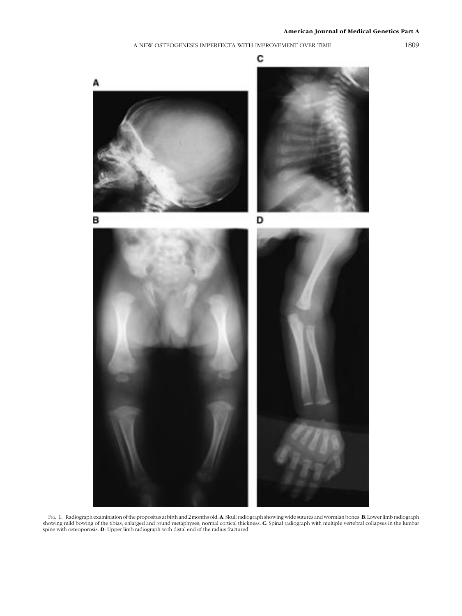# A NEW OSTEOGENESIS IMPERFECTA WITH IMPROVEMENT OVER TIME 1809

С А B D

Fig. 1. Radiograph examination of the propositus at birth and 2 months old. A: Skull radiograph showing wide sutures and wormian bones. B: Lower limb radiograph showing mild bowing of the tibias, enlarged and round metaphy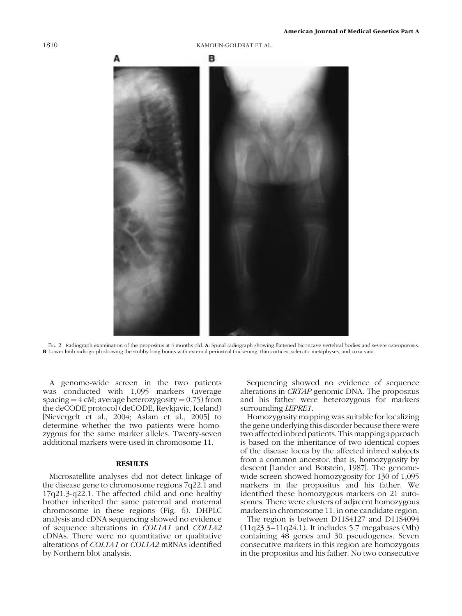# в

FIG. 2. Radiograph examination of the propositus at 4 months old. A: Spinal radiograph showing flattened biconcave vertebral bodies and severe osteoporosis. B: Lower limb radiograph showing the stubby long bones with external periosteal thickening, thin cortices, sclerotic metaphyses, and coxa vara.

A genome-wide screen in the two patients was conducted with 1,095 markers (average spacing  $=$  4 cM; average heterozygosity  $=$  0.75) from the deCODE protocol (deCODE, Reykjavic, Iceland) [Nievergelt et al., 2004; Aslam et al., 2005] to determine whether the two patients were homozygous for the same marker alleles. Twenty-seven additional markers were used in chromosome 11.

# **RESULTS**

Microsatellite analyses did not detect linkage of the disease gene to chromosome regions 7q22.1 and 17q21.3-q22.1. The affected child and one healthy brother inherited the same paternal and maternal chromosome in these regions (Fig. 6). DHPLC analysis and cDNA sequencing showed no evidence of sequence alterations in COL1A1 and COL1A2 cDNAs. There were no quantitative or qualitative alterations of COL1A1 or COL1A2 mRNAs identified by Northern blot analysis.

Sequencing showed no evidence of sequence alterations in CRTAP genomic DNA. The propositus and his father were heterozygous for markers surrounding *LEPRE1*.

Homozygosity mapping was suitable for localizing the gene underlying this disorder because there were two affected inbred patients. This mapping approach is based on the inheritance of two identical copies of the disease locus by the affected inbred subjects from a common ancestor, that is, homozygosity by descent [Lander and Botstein, 1987]. The genomewide screen showed homozygosity for 130 of 1,095 markers in the propositus and his father. We identified these homozygous markers on 21 autosomes. There were clusters of adjacent homozygous markers in chromosome 11, in one candidate region.

The region is between D11S4127 and D11S4094 (11q23.3–11q24.1). It includes 5.7 megabases (Mb) containing 48 genes and 30 pseudogenes. Seven consecutive markers in this region are homozygous in the propositus and his father. No two consecutive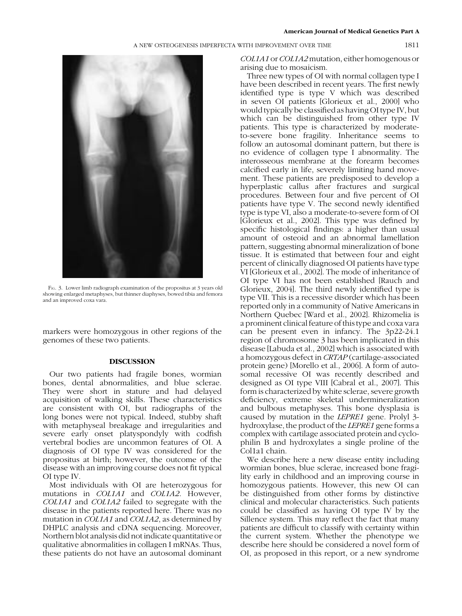# A NEW OSTEOGENESIS IMPERFECTA WITH IMPROVEMENT OVER TIME 1811



FIG. 3. Lower limb radiograph examination of the propositus at 3 years old showing enlarged metaphyses, but thinner diaphyses, bowed tibia and femora and an improved coxa vara.

markers were homozygous in other regions of the genomes of these two patients.

# DISCUSSION

Our two patients had fragile bones, wormian bones, dental abnormalities, and blue sclerae. They were short in stature and had delayed acquisition of walking skills. These characteristics are consistent with OI, but radiographs of the long bones were not typical. Indeed, stubby shaft with metaphyseal breakage and irregularities and severe early onset platyspondyly with codfish vertebral bodies are uncommon features of OI. A diagnosis of OI type IV was considered for the propositus at birth; however, the outcome of the disease with an improving course does not fit typical OI type IV.

Most individuals with OI are heterozygous for mutations in *COL1A1* and *COL1A2*. However, COL1A1 and COL1A2 failed to segregate with the disease in the patients reported here. There was no mutation in COL1A1 and COL1A2, as determined by DHPLC analysis and cDNA sequencing. Moreover, Northern blot analysis did not indicate quantitative or qualitative abnormalities in collagen I mRNAs. Thus, these patients do not have an autosomal dominant

COL1A1 or COL1A2 mutation, either homogenous or arising due to mosaicism.

Three new types of OI with normal collagen type I have been described in recent years. The first newly identified type is type V which was described in seven OI patients [Glorieux et al., 2000] who would typically be classified as having OI type IV, but which can be distinguished from other type IV patients. This type is characterized by moderateto-severe bone fragility. Inheritance seems to follow an autosomal dominant pattern, but there is no evidence of collagen type I abnormality. The interosseous membrane at the forearm becomes calcified early in life, severely limiting hand movement. These patients are predisposed to develop a hyperplastic callus after fractures and surgical procedures. Between four and five percent of OI patients have type V. The second newly identified type is type VI, also a moderate-to-severe form of OI [Glorieux et al., 2002]. This type was defined by specific histological findings: a higher than usual amount of osteoid and an abnormal lamellation pattern, suggesting abnormal mineralization of bone tissue. It is estimated that between four and eight percent of clinically diagnosed OI patients have type VI [Glorieux et al., 2002]. The mode of inheritance of OI type VI has not been established [Rauch and Glorieux, 2004]. The third newly identified type is type VII. This is a recessive disorder which has been reported only in a community of Native Americans in Northern Quebec [Ward et al., 2002]. Rhizomelia is a prominent clinical feature of this type and coxa vara can be present even in infancy. The 3p22-24.1 region of chromosome 3 has been implicated in this disease [Labuda et al., 2002] which is associated with a homozygous defect in CRTAP (cartilage-associated protein gene) [Morello et al., 2006]. A form of autosomal recessive OI was recently described and designed as OI type VIII [Cabral et al., 2007]. This form is characterized by white sclerae, severe growth deficiency, extreme skeletal undermineralization and bulbous metaphyses. This bone dysplasia is caused by mutation in the LEPRE1 gene. Prolyl 3 hydroxylase, the product of the *LEPRE1* gene forms a complex with cartilage associated protein and cyclophilin B and hydroxylates a single proline of the Col1a1 chain.

We describe here a new disease entity including wormian bones, blue sclerae, increased bone fragility early in childhood and an improving course in homozygous patients. However, this new OI can be distinguished from other forms by distinctive clinical and molecular characteristics. Such patients could be classified as having OI type IV by the Sillence system. This may reflect the fact that many patients are difficult to classify with certainty within the current system. Whether the phenotype we describe here should be considered a novel form of OI, as proposed in this report, or a new syndrome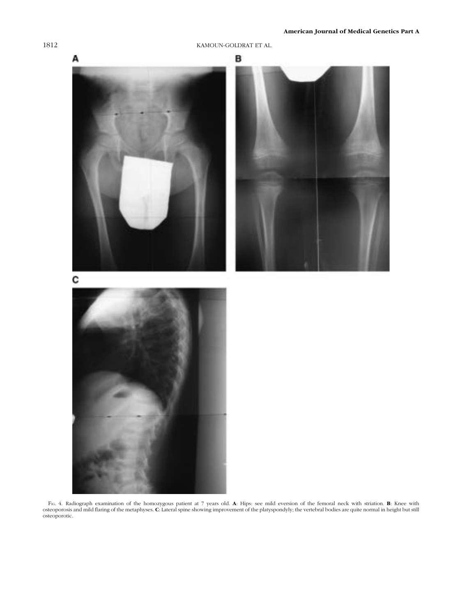

Fig. 4. Radiograph examination of the homozygous patient at 7 years old. **A**: Hips: see mild eversion of the femoral neck with striation. **B**: Knee with osteoporosis and mild flaring of the metaphyses. **C**: Lateral spine s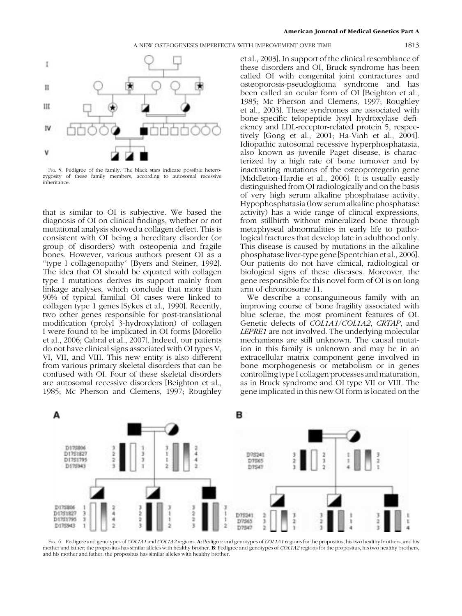1

п

Ш

ΙV

v

FIG. 5. Pedigree of the family. The black stars indicate possible heterozygosity of these family members, according to autosomal recessive inheritance.

that is similar to OI is subjective. We based the diagnosis of OI on clinical findings, whether or not mutational analysis showed a collagen defect. This is consistent with OI being a hereditary disorder (or group of disorders) with osteopenia and fragile bones. However, various authors present OI as a ''type I collagenopathy'' [Byers and Steiner, 1992]. The idea that OI should be equated with collagen type I mutations derives its support mainly from linkage analyses, which conclude that more than 90% of typical familial OI cases were linked to collagen type 1 genes [Sykes et al., 1990]. Recently, two other genes responsible for post-translational modification (prolyl 3-hydroxylation) of collagen I were found to be implicated in OI forms [Morello et al., 2006; Cabral et al., 2007]. Indeed, our patients do not have clinical signs associated with OI types V, VI, VII, and VIII. This new entity is also different from various primary skeletal disorders that can be confused with OI. Four of these skeletal disorders are autosomal recessive disorders [Beighton et al., 1985; Mc Pherson and Clemens, 1997; Roughley

et al., 2003]. In support of the clinical resemblance of these disorders and OI, Bruck syndrome has been called OI with congenital joint contractures and osteoporosis-pseudoglioma syndrome and has been called an ocular form of OI [Beighton et al., 1985; Mc Pherson and Clemens, 1997; Roughley et al., 2003]. These syndromes are associated with bone-specific telopeptide lysyl hydroxylase deficiency and LDL-receptor-related protein 5, respectively [Gong et al., 2001; Ha-Vinh et al., 2004]. Idiopathic autosomal recessive hyperphosphatasia, also known as juvenile Paget disease, is characterized by a high rate of bone turnover and by inactivating mutations of the osteoprotegerin gene [Middleton-Hardie et al., 2006]. It is usually easily distinguished from OI radiologically and on the basis of very high serum alkaline phosphatase activity. Hypophosphatasia (low serum alkaline phosphatase activity) has a wide range of clinical expressions, from stillbirth without mineralized bone through metaphyseal abnormalities in early life to pathological fractures that develop late in adulthood only. This disease is caused by mutations in the alkaline phosphatase liver-type gene [Spentchian et al., 2006]. Our patients do not have clinical, radiological or biological signs of these diseases. Moreover, the gene responsible for this novel form of OI is on long arm of chromosome 11.

We describe a consanguineous family with an improving course of bone fragility associated with blue sclerae, the most prominent features of OI. Genetic defects of COL1A1/COL1A2, CRTAP, and LEPRE1 are not involved. The underlying molecular mechanisms are still unknown. The causal mutation in this family is unknown and may be in an extracellular matrix component gene involved in bone morphogenesis or metabolism or in genes controlling type I collagen processes and maturation, as in Bruck syndrome and OI type VII or VIII. The gene implicated in this new OI form is located on the



FIG. 6. Pedigree and genotypes of COL1A1 and COL1A2 regions. A: Pedigree and genotypes of COL1A1 regions for the propositus, his two healthy brothers, and his mother and father; the propositus has similar alleles with healthy brother. B: Pedigree and genotypes of COL1A2 regions for the propositus, his two healthy brothers, and his mother and father; the propositus has similar alleles with healthy brother.